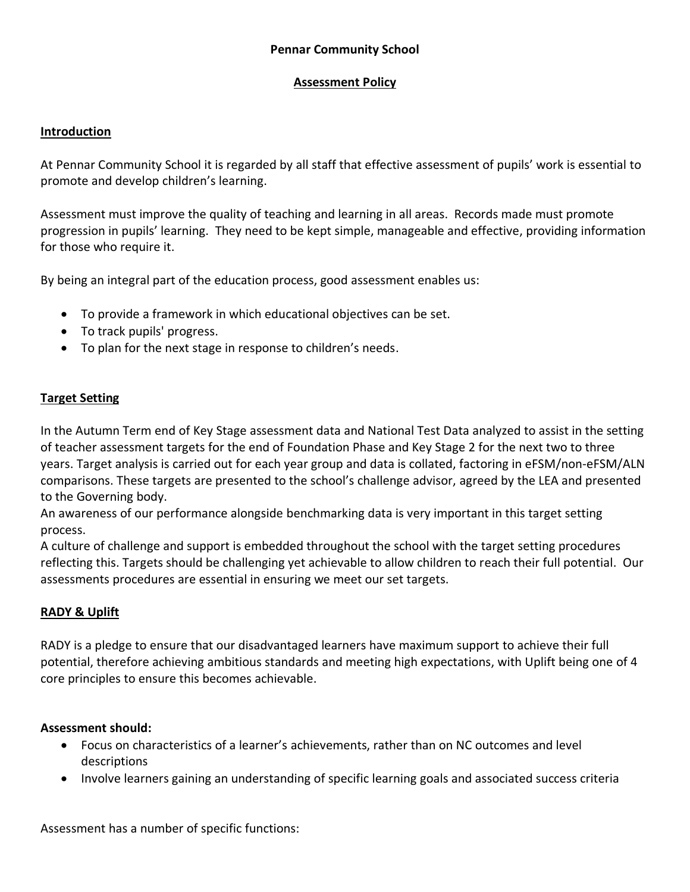## **Pennar Community School**

#### **Assessment Policy**

#### **Introduction**

At Pennar Community School it is regarded by all staff that effective assessment of pupils' work is essential to promote and develop children's learning.

Assessment must improve the quality of teaching and learning in all areas. Records made must promote progression in pupils' learning. They need to be kept simple, manageable and effective, providing information for those who require it.

By being an integral part of the education process, good assessment enables us:

- To provide a framework in which educational objectives can be set.
- To track pupils' progress.
- To plan for the next stage in response to children's needs.

#### **Target Setting**

In the Autumn Term end of Key Stage assessment data and National Test Data analyzed to assist in the setting of teacher assessment targets for the end of Foundation Phase and Key Stage 2 for the next two to three years. Target analysis is carried out for each year group and data is collated, factoring in eFSM/non-eFSM/ALN comparisons. These targets are presented to the school's challenge advisor, agreed by the LEA and presented to the Governing body.

An awareness of our performance alongside benchmarking data is very important in this target setting process.

A culture of challenge and support is embedded throughout the school with the target setting procedures reflecting this. Targets should be challenging yet achievable to allow children to reach their full potential. Our assessments procedures are essential in ensuring we meet our set targets.

#### **RADY & Uplift**

RADY is a pledge to ensure that our disadvantaged learners have maximum support to achieve their full potential, therefore achieving ambitious standards and meeting high expectations, with Uplift being one of 4 core principles to ensure this becomes achievable.

#### **Assessment should:**

- Focus on characteristics of a learner's achievements, rather than on NC outcomes and level descriptions
- Involve learners gaining an understanding of specific learning goals and associated success criteria

Assessment has a number of specific functions: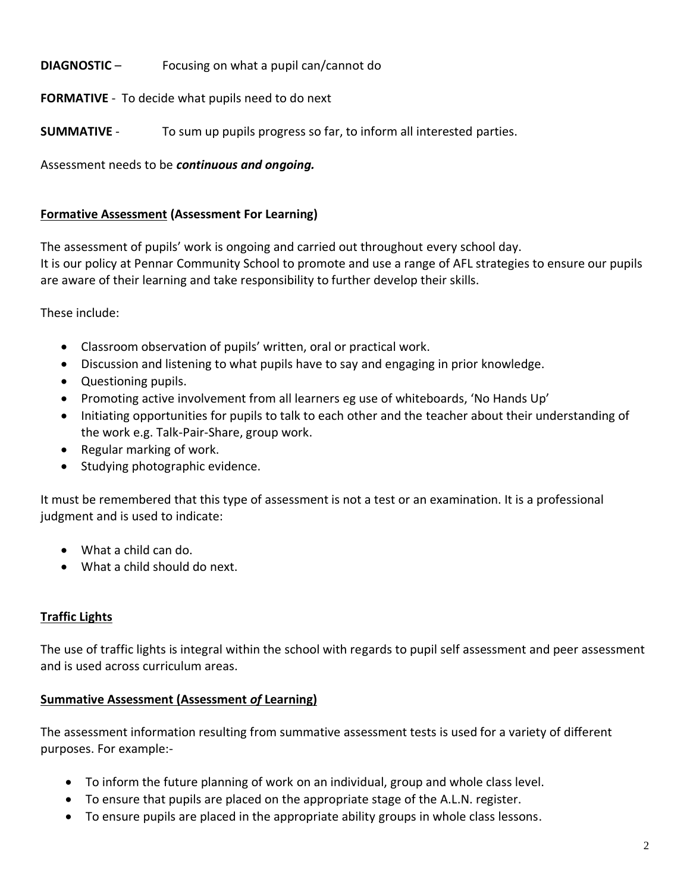# **DIAGNOSTIC** – Focusing on what a pupil can/cannot do

## **FORMATIVE** - To decide what pupils need to do next

**SUMMATIVE** - To sum up pupils progress so far, to inform all interested parties.

Assessment needs to be *continuous and ongoing.* 

#### **Formative Assessment (Assessment For Learning)**

The assessment of pupils' work is ongoing and carried out throughout every school day. It is our policy at Pennar Community School to promote and use a range of AFL strategies to ensure our pupils are aware of their learning and take responsibility to further develop their skills.

These include:

- Classroom observation of pupils' written, oral or practical work.
- Discussion and listening to what pupils have to say and engaging in prior knowledge.
- Questioning pupils.
- Promoting active involvement from all learners eg use of whiteboards, 'No Hands Up'
- Initiating opportunities for pupils to talk to each other and the teacher about their understanding of the work e.g. Talk-Pair-Share, group work.
- Regular marking of work.
- Studying photographic evidence.

It must be remembered that this type of assessment is not a test or an examination. It is a professional judgment and is used to indicate:

- What a child can do.
- What a child should do next.

## **Traffic Lights**

The use of traffic lights is integral within the school with regards to pupil self assessment and peer assessment and is used across curriculum areas.

## **Summative Assessment (Assessment** *of* **Learning)**

The assessment information resulting from summative assessment tests is used for a variety of different purposes. For example:-

- To inform the future planning of work on an individual, group and whole class level.
- To ensure that pupils are placed on the appropriate stage of the A.L.N. register.
- To ensure pupils are placed in the appropriate ability groups in whole class lessons.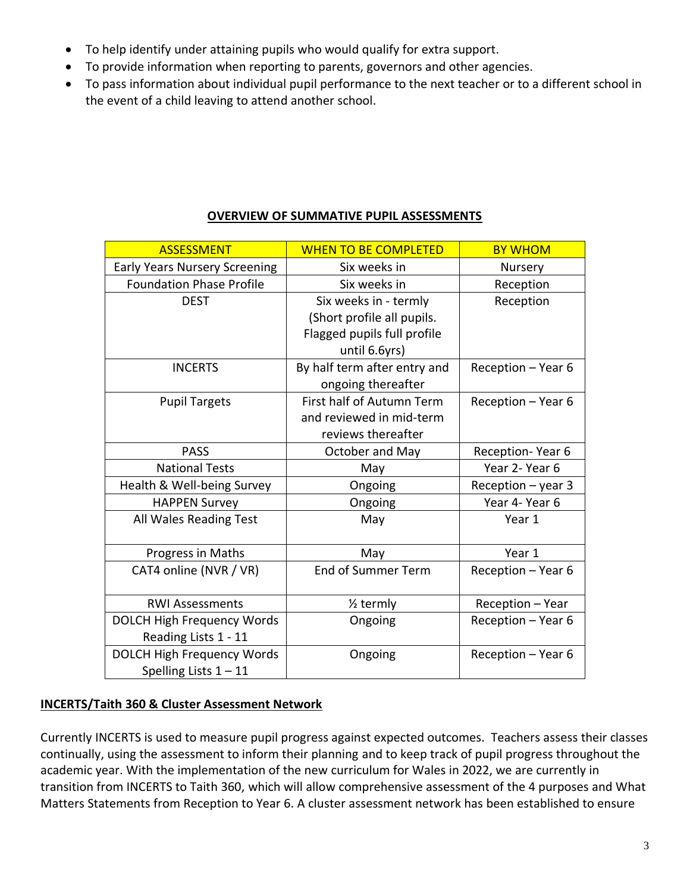- To help identify under attaining pupils who would qualify for extra support.
- To provide information when reporting to parents, governors and other agencies.
- To pass information about individual pupil performance to the next teacher or to a different school in the event of a child leaving to attend another school.

| <b>ASSESSMENT</b>                    | <b>WHEN TO BE COMPLETED</b>  | <b>BY WHOM</b>       |
|--------------------------------------|------------------------------|----------------------|
| <b>Early Years Nursery Screening</b> | Six weeks in                 | Nursery              |
| <b>Foundation Phase Profile</b>      | Six weeks in                 | Reception            |
| <b>DEST</b>                          | Six weeks in - termly        | Reception            |
|                                      | (Short profile all pupils.   |                      |
|                                      | Flagged pupils full profile  |                      |
|                                      | until 6.6yrs)                |                      |
| <b>INCERTS</b>                       | By half term after entry and | Reception - Year 6   |
|                                      | ongoing thereafter           |                      |
| <b>Pupil Targets</b>                 | First half of Autumn Term    | Reception - Year 6   |
|                                      | and reviewed in mid-term     |                      |
|                                      | reviews thereafter           |                      |
| <b>PASS</b>                          | October and May              | Reception-Year 6     |
| <b>National Tests</b>                | May                          | Year 2- Year 6       |
| Health & Well-being Survey           | Ongoing                      | Reception $-$ year 3 |
| <b>HAPPEN Survey</b>                 | Ongoing                      | Year 4- Year 6       |
| All Wales Reading Test               | May                          | Year 1               |
|                                      |                              |                      |
| Progress in Maths                    | May                          | Year 1               |
| CAT4 online (NVR / VR)               | <b>End of Summer Term</b>    | Reception - Year 6   |
| <b>RWI Assessments</b>               | $\frac{1}{2}$ termly         | Reception - Year     |
| <b>DOLCH High Frequency Words</b>    | Ongoing                      | Reception - Year 6   |
| Reading Lists 1 - 11                 |                              |                      |
| <b>DOLCH High Frequency Words</b>    | Ongoing                      | Reception - Year 6   |
| Spelling Lists $1 - 11$              |                              |                      |

# **OVERVIEW OF SUMMATIVE PUPIL ASSESSMENTS**

## **INCERTS/Taith 360 & Cluster Assessment Network**

Currently INCERTS is used to measure pupil progress against expected outcomes. Teachers assess their classes continually, using the assessment to inform their planning and to keep track of pupil progress throughout the academic year. With the implementation of the new curriculum for Wales in 2022, we are currently in transition from INCERTS to Taith 360, which will allow comprehensive assessment of the 4 purposes and What Matters Statements from Reception to Year 6. A cluster assessment network has been established to ensure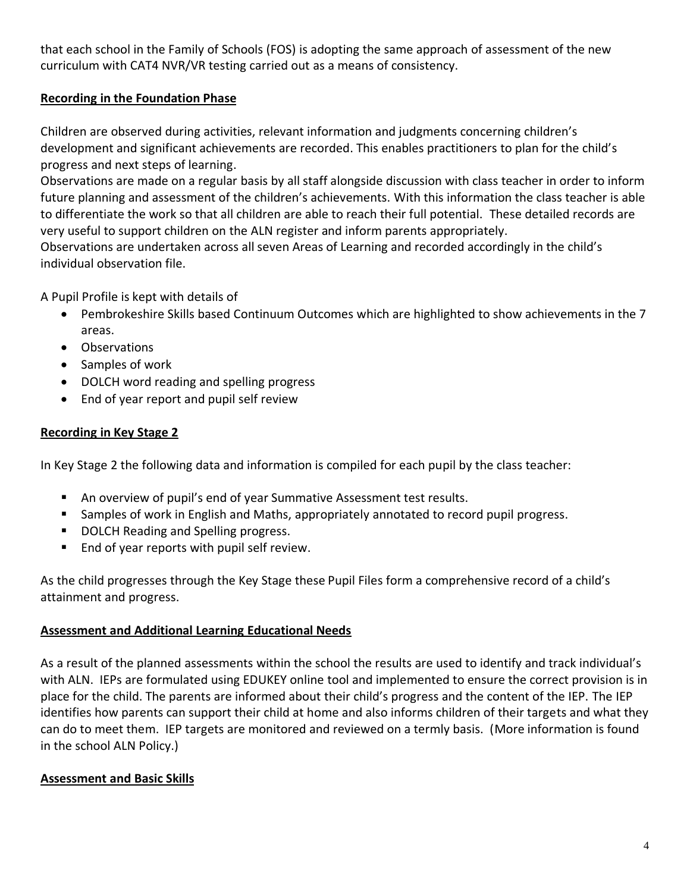that each school in the Family of Schools (FOS) is adopting the same approach of assessment of the new curriculum with CAT4 NVR/VR testing carried out as a means of consistency.

# **Recording in the Foundation Phase**

Children are observed during activities, relevant information and judgments concerning children's development and significant achievements are recorded. This enables practitioners to plan for the child's progress and next steps of learning.

Observations are made on a regular basis by all staff alongside discussion with class teacher in order to inform future planning and assessment of the children's achievements. With this information the class teacher is able to differentiate the work so that all children are able to reach their full potential. These detailed records are very useful to support children on the ALN register and inform parents appropriately.

Observations are undertaken across all seven Areas of Learning and recorded accordingly in the child's individual observation file.

A Pupil Profile is kept with details of

- Pembrokeshire Skills based Continuum Outcomes which are highlighted to show achievements in the 7 areas.
- Observations
- Samples of work
- DOLCH word reading and spelling progress
- End of year report and pupil self review

## **Recording in Key Stage 2**

In Key Stage 2 the following data and information is compiled for each pupil by the class teacher:

- An overview of pupil's end of year Summative Assessment test results.
- Samples of work in English and Maths, appropriately annotated to record pupil progress.
- DOLCH Reading and Spelling progress.
- End of year reports with pupil self review.

As the child progresses through the Key Stage these Pupil Files form a comprehensive record of a child's attainment and progress.

## **Assessment and Additional Learning Educational Needs**

As a result of the planned assessments within the school the results are used to identify and track individual's with ALN. IEPs are formulated using EDUKEY online tool and implemented to ensure the correct provision is in place for the child. The parents are informed about their child's progress and the content of the IEP. The IEP identifies how parents can support their child at home and also informs children of their targets and what they can do to meet them. IEP targets are monitored and reviewed on a termly basis. (More information is found in the school ALN Policy.)

## **Assessment and Basic Skills**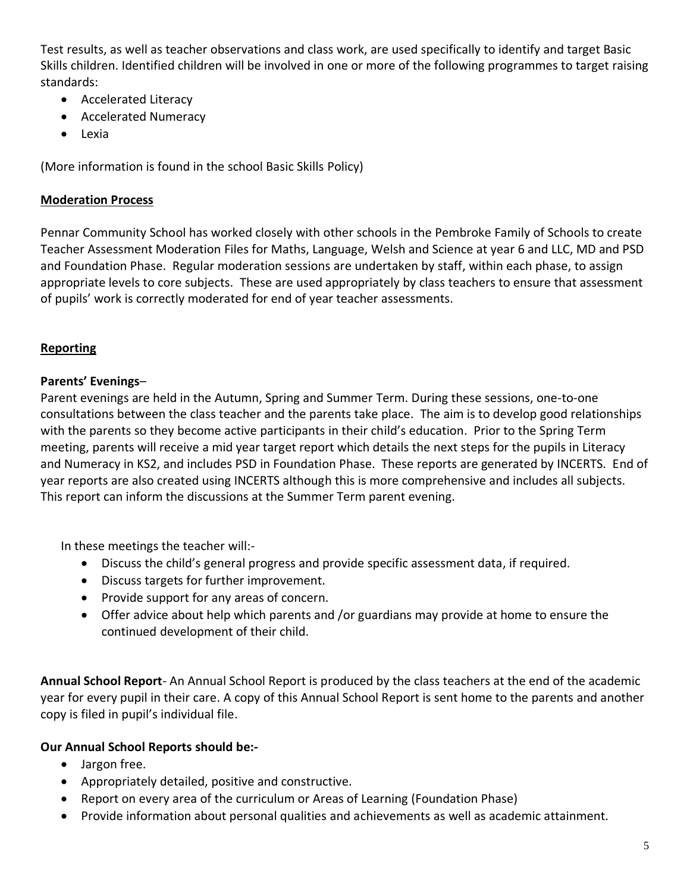Test results, as well as teacher observations and class work, are used specifically to identify and target Basic Skills children. Identified children will be involved in one or more of the following programmes to target raising standards:

- Accelerated Literacy
- Accelerated Numeracy
- Lexia

(More information is found in the school Basic Skills Policy)

#### **Moderation Process**

Pennar Community School has worked closely with other schools in the Pembroke Family of Schools to create Teacher Assessment Moderation Files for Maths, Language, Welsh and Science at year 6 and LLC, MD and PSD and Foundation Phase. Regular moderation sessions are undertaken by staff, within each phase, to assign appropriate levels to core subjects. These are used appropriately by class teachers to ensure that assessment of pupils' work is correctly moderated for end of year teacher assessments.

#### **Reporting**

#### **Parents' Evenings**–

Parent evenings are held in the Autumn, Spring and Summer Term. During these sessions, one-to-one consultations between the class teacher and the parents take place. The aim is to develop good relationships with the parents so they become active participants in their child's education. Prior to the Spring Term meeting, parents will receive a mid year target report which details the next steps for the pupils in Literacy and Numeracy in KS2, and includes PSD in Foundation Phase. These reports are generated by INCERTS. End of year reports are also created using INCERTS although this is more comprehensive and includes all subjects. This report can inform the discussions at the Summer Term parent evening.

In these meetings the teacher will:-

- Discuss the child's general progress and provide specific assessment data, if required.
- Discuss targets for further improvement.
- Provide support for any areas of concern.
- Offer advice about help which parents and /or guardians may provide at home to ensure the continued development of their child.

**Annual School Report**- An Annual School Report is produced by the class teachers at the end of the academic year for every pupil in their care. A copy of this Annual School Report is sent home to the parents and another copy is filed in pupil's individual file.

## **Our Annual School Reports should be:-**

- Jargon free.
- Appropriately detailed, positive and constructive.
- Report on every area of the curriculum or Areas of Learning (Foundation Phase)
- Provide information about personal qualities and achievements as well as academic attainment.